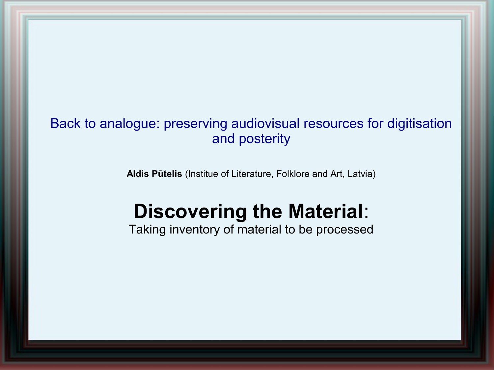## Back to analogue: preserving audiovisual resources for digitisation and posterity

**Aldis Pūtelis** (Institue of Literature, Folklore and Art, Latvia)

# **Discovering the Material**:

Taking inventory of material to be processed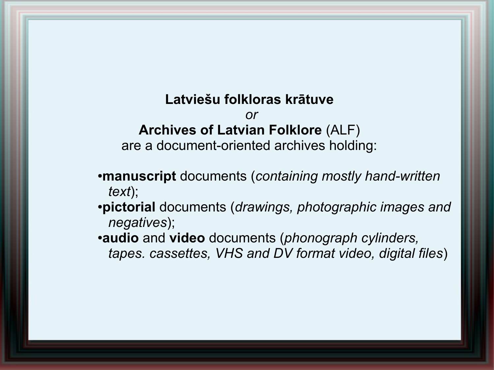#### **Latviešu folkloras krātuve**

*or*

## **Archives of Latvian Folklore** (ALF)

are a document-oriented archives holding:

- ●**manuscript** documents (*containing mostly hand-written text*);
- ●**pictorial** documents (*drawings, photographic images and negatives*);
- ●**audio** and **video** documents (*phonograph cylinders, tapes. cassettes, VHS and DV format video, digital files*)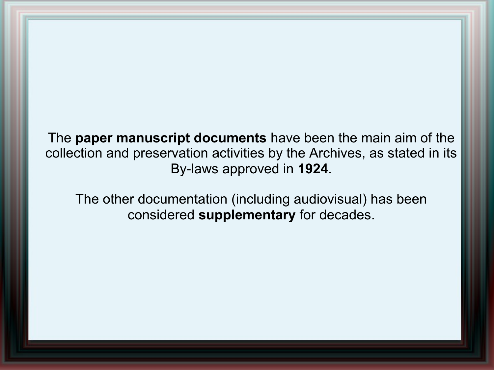The **paper manuscript documents** have been the main aim of the collection and preservation activities by the Archives, as stated in its By-laws approved in **1924**.

The other documentation (including audiovisual) has been considered **supplementary** for decades.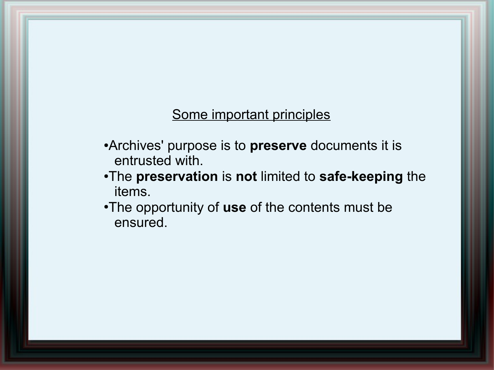#### Some important principles

- ●Archives' purpose is to **preserve** documents it is entrusted with.
- ●The **preservation** is **not** limited to **safe-keeping** the items.
- •The opportunity of use of the contents must be ensured.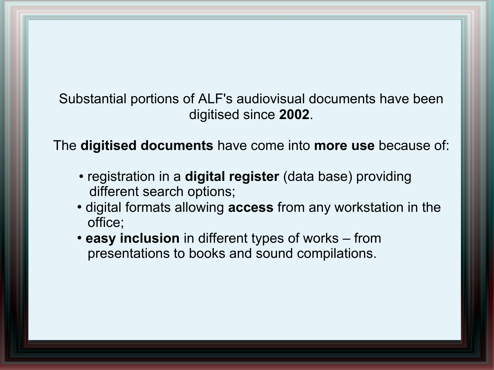Substantial portions of ALF's audiovisual documents have been digitised since **2002**.

The **digitised documents** have come into **more use** because of:

- registration in a **digital register** (data base) providing different search options;
- digital formats allowing **access** from any workstation in the office;
- easy inclusion in different types of works from presentations to books and sound compilations.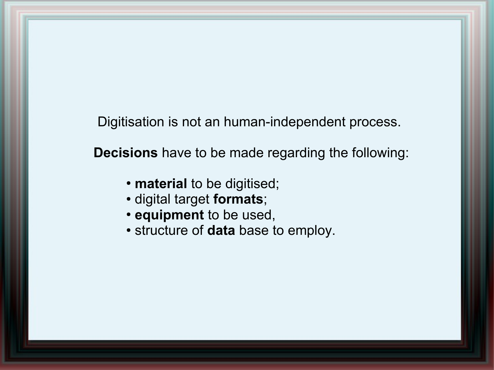Digitisation is not an human-independent process.

**Decisions** have to be made regarding the following:

- **material** to be digitised;
- digital target **formats**;
- **equipment** to be used,
- structure of **data** base to employ.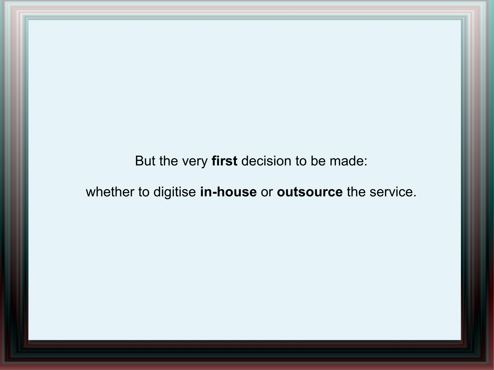But the very **first** decision to be made:

whether to digitise **in-house** or **outsource** the service.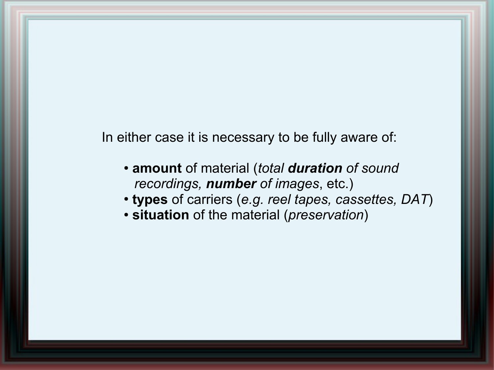In either case it is necessary to be fully aware of:

- **amount** of material (*total duration of sound recordings, number of images*, etc.)
- **types** of carriers (*e.g. reel tapes, cassettes, DAT*)
- **situation** of the material (*preservation*)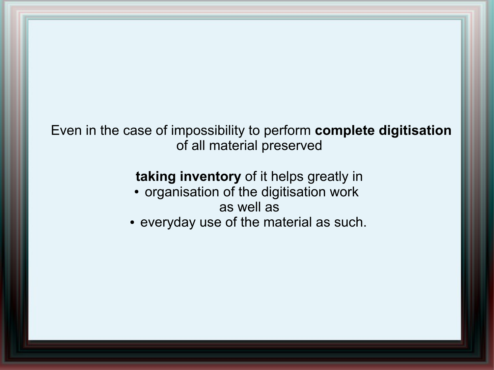Even in the case of impossibility to perform **complete digitisation**  of all material preserved

## **taking inventory** of it helps greatly in

• organisation of the digitisation work as well as

• everyday use of the material as such.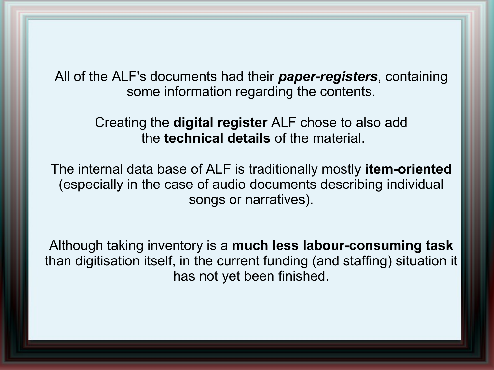All of the ALF's documents had their *paper-registers*, containing some information regarding the contents.

> Creating the **digital register** ALF chose to also add the **technical details** of the material.

The internal data base of ALF is traditionally mostly **item-oriented** (especially in the case of audio documents describing individual songs or narratives).

Although taking inventory is a **much less labour-consuming task** than digitisation itself, in the current funding (and staffing) situation it has not yet been finished.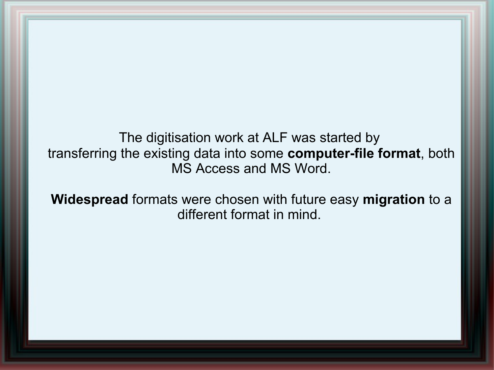The digitisation work at ALF was started by transferring the existing data into some **computer-file format**, both MS Access and MS Word.

**Widespread** formats were chosen with future easy **migration** to a different format in mind.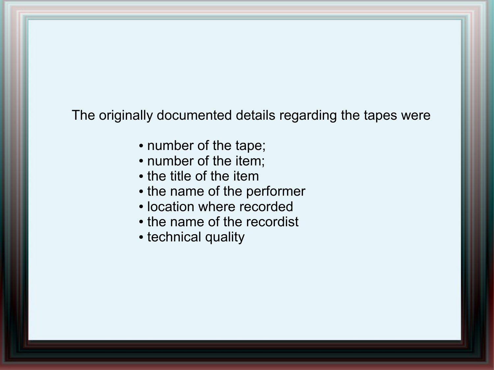The originally documented details regarding the tapes were

- number of the tape;
- number of the item;
- the title of the item
- the name of the performer
- location where recorded
- the name of the recordist
- technical quality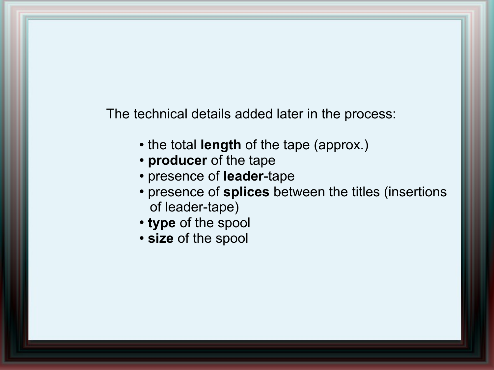The technical details added later in the process:

- the total **length** of the tape (approx.)
- **producer** of the tape
- presence of **leader**-tape
- presence of splices between the titles (insertions of leader-tape)
- type of the spool
- **size** of the spool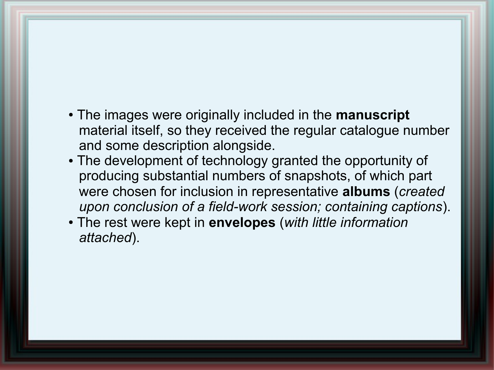- The images were originally included in the **manuscript** material itself, so they received the regular catalogue number and some description alongside.
- The development of technology granted the opportunity of producing substantial numbers of snapshots, of which part were chosen for inclusion in representative **albums** (*created upon conclusion of a field-work session; containing captions*).
- The rest were kept in **envelopes** (*with little information attached*).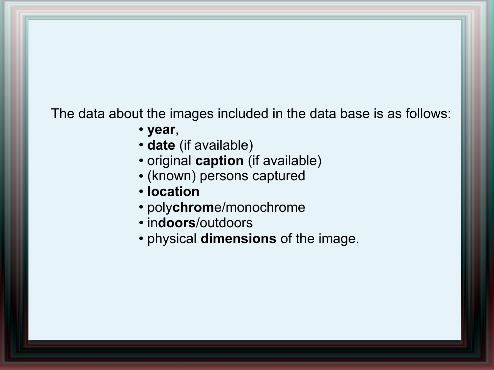The data about the images included in the data base is as follows:

- **year**,
- date (if available)
- original **caption** (if available)
- (known) persons captured
- **location**
- poly**chrom**e/monochrome
- in**doors**/outdoors
- physical **dimensions** of the image.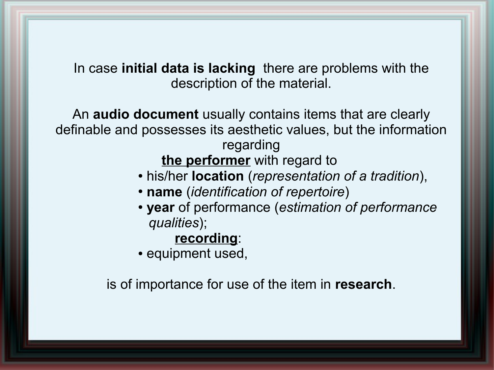In case **initial data is lacking** there are problems with the description of the material.

An **audio document** usually contains items that are clearly definable and possesses its aesthetic values, but the information regarding

**the performer** with regard to

- his/her **location** (*representation of a tradition*),
- **name** (*identification of repertoire*)
- **year** of performance (*estimation of performance qualities*);

#### **recording**:

• equipment used,

is of importance for use of the item in **research**.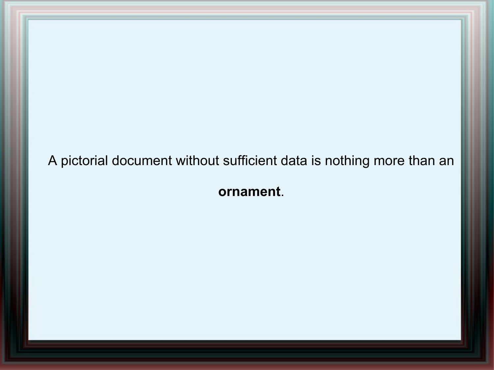A pictorial document without sufficient data is nothing more than an

**ornament**.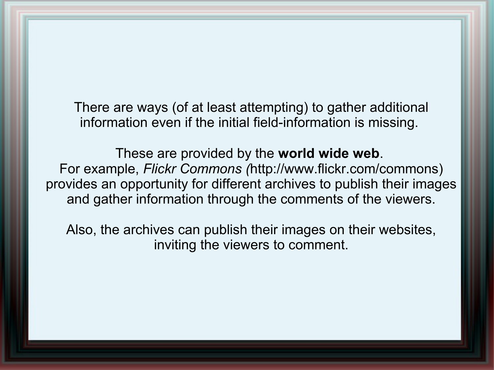There are ways (of at least attempting) to gather additional information even if the initial field-information is missing.

These are provided by the **world wide web**. For example, *Flickr Commons (*http://www.flickr.com/commons) provides an opportunity for different archives to publish their images and gather information through the comments of the viewers.

Also, the archives can publish their images on their websites, inviting the viewers to comment.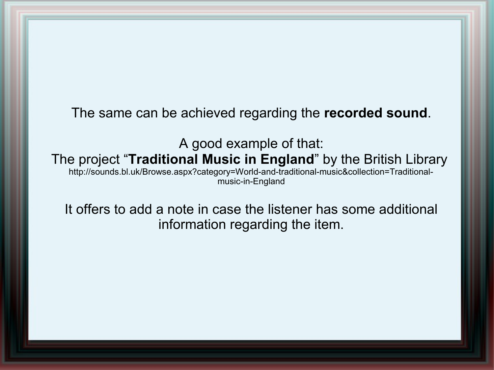The same can be achieved regarding the **recorded sound**.

A good example of that: The project "**Traditional Music in England**" by the British Library [http://sounds.bl.uk/Browse.aspx?category=World-and-traditional-music&collection=Traditional](http://sounds.bl.uk/Browse.aspx?category=World-and-traditional-music&collection=Traditional-music-in-England)[music-in-England](http://sounds.bl.uk/Browse.aspx?category=World-and-traditional-music&collection=Traditional-music-in-England)

It offers to add a note in case the listener has some additional information regarding the item.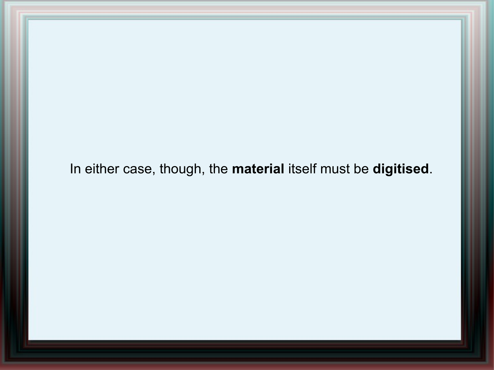In either case, though, the **material** itself must be **digitised**.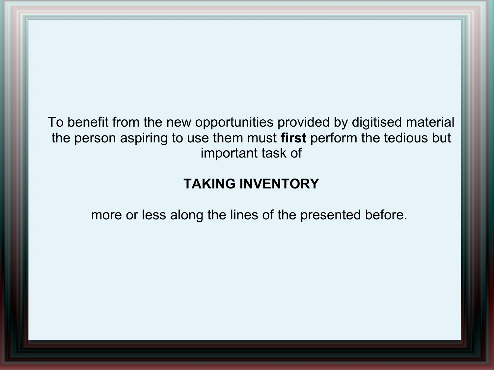To benefit from the new opportunities provided by digitised material the person aspiring to use them must **first** perform the tedious but important task of

# **TAKING INVENTORY**

more or less along the lines of the presented before.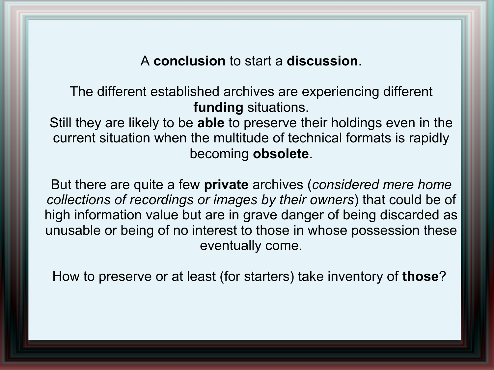#### A **conclusion** to start a **discussion**.

The different established archives are experiencing different **funding** situations.

Still they are likely to be **able** to preserve their holdings even in the current situation when the multitude of technical formats is rapidly becoming **obsolete**.

But there are quite a few **private** archives (*considered mere home collections of recordings or images by their owners*) that could be of high information value but are in grave danger of being discarded as unusable or being of no interest to those in whose possession these eventually come.

How to preserve or at least (for starters) take inventory of **those**?